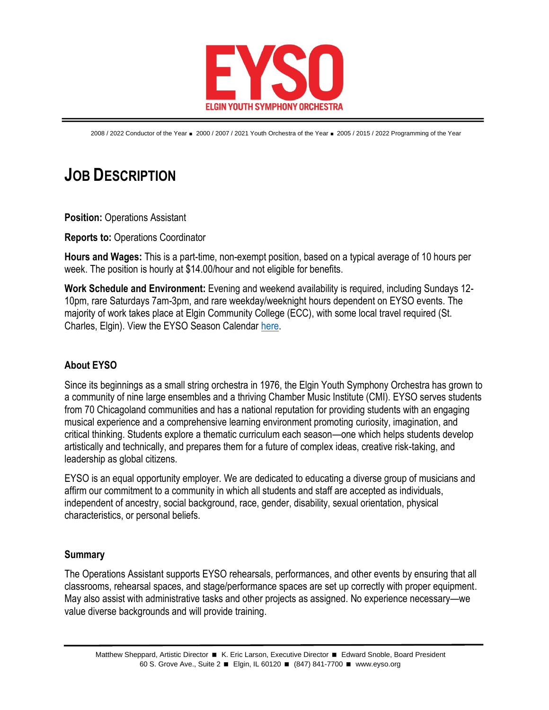

2008 / 2022 Conductor of the Year = 2000 / 2007 / 2021 Youth Orchestra of the Year = 2005 / 2015 / 2022 Programming of the Year

## **JOB DESCRIPTION**

**Position: Operations Assistant** 

**Reports to:** Operations Coordinator

**Hours and Wages:** This is a part-time, non-exempt position, based on a typical average of 10 hours per week. The position is hourly at \$14.00/hour and not eligible for benefits.

**Work Schedule and Environment:** Evening and weekend availability is required, including Sundays 12- 10pm, rare Saturdays 7am-3pm, and rare weekday/weeknight hours dependent on EYSO events. The majority of work takes place at Elgin Community College (ECC), with some local travel required (St. Charles, Elgin). View the EYSO Season Calendar [here.](https://www.eyso.org/wp-content/uploads/2022/05/2022-23-EYSO-Season-Calendar-rev.-05-16-2022.pdf)

## **About EYSO**

Since its beginnings as a small string orchestra in 1976, the Elgin Youth Symphony Orchestra has grown to a community of nine large ensembles and a thriving Chamber Music Institute (CMI). EYSO serves students from 70 Chicagoland communities and has a national reputation for providing students with an engaging musical experience and a comprehensive learning environment promoting curiosity, imagination, and critical thinking. Students explore a thematic curriculum each season—one which helps students develop artistically and technically, and prepares them for a future of complex ideas, creative risk-taking, and leadership as global citizens.

EYSO is an equal opportunity employer. We are dedicated to educating a diverse group of musicians and affirm our commitment to a community in which all students and staff are accepted as individuals, independent of ancestry, social background, race, gender, disability, sexual orientation, physical characteristics, or personal beliefs.

## **Summary**

The Operations Assistant supports EYSO rehearsals, performances, and other events by ensuring that all classrooms, rehearsal spaces, and stage/performance spaces are set up correctly with proper equipment. May also assist with administrative tasks and other projects as assigned. No experience necessary—we value diverse backgrounds and will provide training.